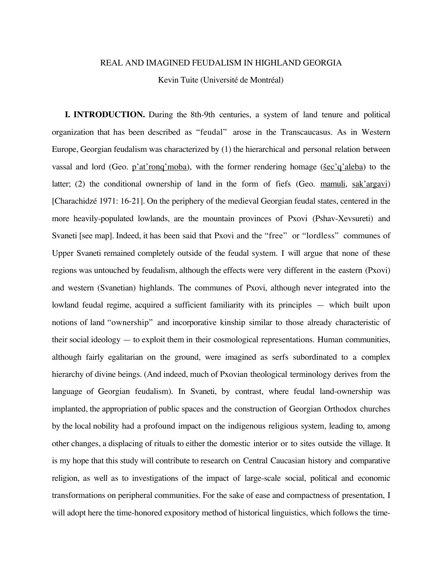#### REAL AND IMAGINED FEUDALISM IN HIGHLAND GEORGIA

Kevin Tuite (Université de Montréal)

**I. INTRODUCTION.** During the 8th-9th centuries, a system of land tenure and political organization that has been described as "feudal" arose in the Transcaucasus. As in Western Europe, Georgian feudalism was characterized by (1) the hierarchical and personal relation between vassal and lord (Geo. p'at'rong'moba), with the former rendering homage ( $\frac{\sec^2 q}{\cosh q}$ ) to the latter; (2) the conditional ownership of land in the form of fiefs (Geo. mamuli, sak'argavi) [Charachidzé 1971: 16-21]. On the periphery of the medieval Georgian feudal states, centered in the more heavily-populated lowlands, are the mountain provinces of Pxovi (Pshav-Xevsureti) and Svaneti [see map]. Indeed, it has been said that Pxovi and the "free" or "lordless" communes of Upper Svaneti remained completely outside of the feudal system. I will argue that none of these regions was untouched by feudalism, although the effects were very different in the eastern (Pxovi) and western (Svanetian) highlands. The communes of Pxovi, although never integrated into the lowland feudal regime, acquired a sufficient familiarity with its principles — which built upon notions of land "ownership" and incorporative kinship similar to those already characteristic of their social ideology — to exploit them in their cosmological representations. Human communities, although fairly egalitarian on the ground, were imagined as serfs subordinated to a complex hierarchy of divine beings. (And indeed, much of Pxovian theological terminology derives from the language of Georgian feudalism). In Svaneti, by contrast, where feudal land-ownership was implanted, the appropriation of public spaces and the construction of Georgian Orthodox churches by the local nobility had a profound impact on the indigenous religious system, leading to, among other changes, a displacing of rituals to either the domestic interior or to sites outside the village. It is my hope that this study will contribute to research on Central Caucasian history and comparative religion, as well as to investigations of the impact of large-scale social, political and economic transformations on peripheral communities. For the sake of ease and compactness of presentation, I will adopt here the time-honored expository method of historical linguistics, which follows the time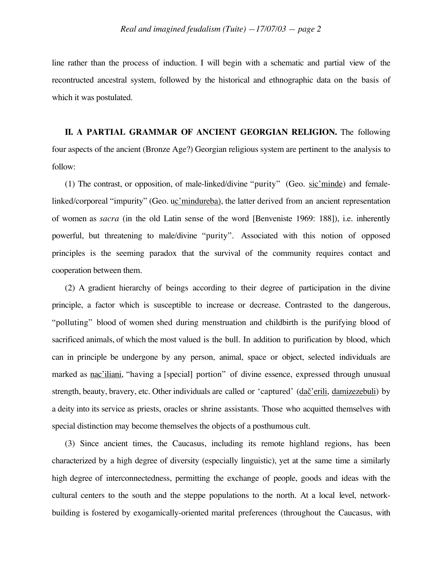line rather than the process of induction. I will begin with a schematic and partial view of the recontructed ancestral system, followed by the historical and ethnographic data on the basis of which it was postulated.

**II. A PARTIAL GRAMMAR OF ANCIENT GEORGIAN RELIGION.** The following four aspects of the ancient (Bronze Age?) Georgian religious system are pertinent to the analysis to follow:

(1) The contrast, or opposition, of male-linked/divine "purity" (Geo. sic'minde) and femalelinked/corporeal "impurity" (Geo. uc'mindureba), the latter derived from an ancient representation of women as *sacra* (in the old Latin sense of the word [Benveniste 1969: 188]), i.e. inherently powerful, but threatening to male/divine "purity". Associated with this notion of opposed principles is the seeming paradox that the survival of the community requires contact and cooperation between them.

(2) A gradient hierarchy of beings according to their degree of participation in the divine principle, a factor which is susceptible to increase or decrease. Contrasted to the dangerous, "polluting" blood of women shed during menstruation and childbirth is the purifying blood of sacrificed animals, of which the most valued is the bull. In addition to purification by blood, which can in principle be undergone by any person, animal, space or object, selected individuals are marked as nac'iliani, "having a [special] portion" of divine essence, expressed through unusual strength, beauty, bravery, etc. Other individuals are called or 'captured' (dač'erili, damizezebuli) by a deity into its service as priests, oracles or shrine assistants. Those who acquitted themselves with special distinction may become themselves the objects of a posthumous cult.

(3) Since ancient times, the Caucasus, including its remote highland regions, has been characterized by a high degree of diversity (especially linguistic), yet at the same time a similarly high degree of interconnectedness, permitting the exchange of people, goods and ideas with the cultural centers to the south and the steppe populations to the north. At a local level, networkbuilding is fostered by exogamically-oriented marital preferences (throughout the Caucasus, with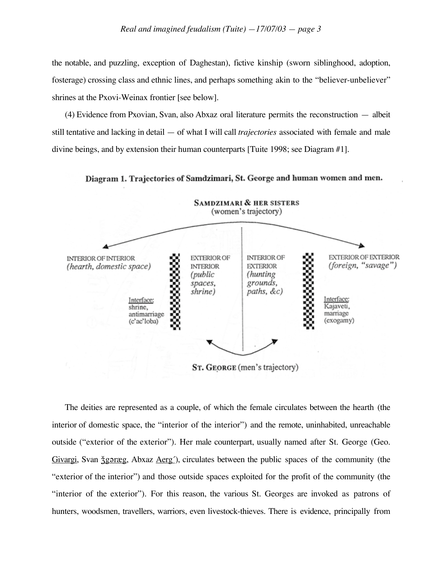the notable, and puzzling, exception of Daghestan), fictive kinship (sworn siblinghood, adoption, fosterage) crossing class and ethnic lines, and perhaps something akin to the "believer-unbeliever" shrines at the Pxovi-Weinax frontier [see below].

(4) Evidence from Pxovian, Svan, also Abxaz oral literature permits the reconstruction — albeit still tentative and lacking in detail — of what I will call *trajectories* associated with female and male divine beings, and by extension their human counterparts [Tuite 1998; see Diagram #1].

Diagram 1. Trajectories of Samdzimari, St. George and human women and men.



The deities are represented as a couple, of which the female circulates between the hearth (the interior of domestic space, the "interior of the interior") and the remote, uninhabited, unreachable outside ("exterior of the exterior"). Her male counterpart, usually named after St. George (Geo. Givargi, Svan <u>žgoræg</u>, Abxaz Aerg<sup>'</sup>), circulates between the public spaces of the community (the "exterior of the interior") and those outside spaces exploited for the profit of the community (the "interior of the exterior"). For this reason, the various St. Georges are invoked as patrons of hunters, woodsmen, travellers, warriors, even livestock-thieves. There is evidence, principally from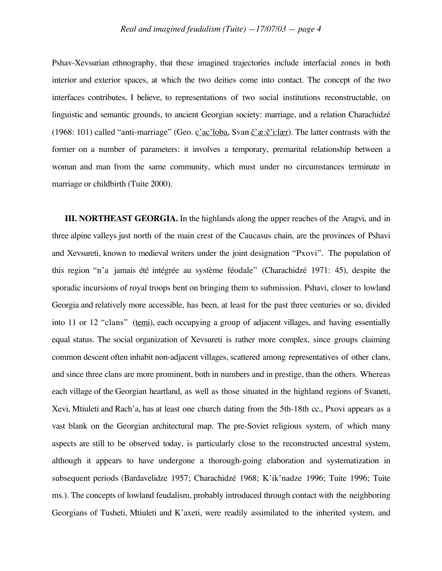Pshav-Xevsurian ethnography, that these imagined trajectories include interfacial zones in both interior and exterior spaces, at which the two deities come into contact. The concept of the two interfaces contributes, I believe, to representations of two social institutions reconstructable, on linguistic and semantic grounds, to ancient Georgian society: marriage, and a relation Charachidzé (1968: 101) called "anti-marriage" (Geo. c'ac'loba, Svan  $\check{c}'$ : $\check{c}'$ ::lær). The latter contrasts with the former on a number of parameters: it involves a temporary, premarital relationship between a woman and man from the same community, which must under no circumstances terminate in marriage or childbirth (Tuite 2000).

**III. NORTHEAST GEORGIA.** In the highlands along the upper reaches of the Aragvi, and in three alpine valleys just north of the main crest of the Caucasus chain, are the provinces of Pshavi and Xevsureti, known to medieval writers under the joint designation "Pxovi". The population of this region "n'a jamais été intégrée au système féodale" (Charachidzé 1971: 45), despite the sporadic incursions of royal troops bent on bringing them to submission. Pshavi, closer to lowland Georgia and relatively more accessible, has been, at least for the past three centuries or so, divided into 11 or 12 "clans" (temi), each occupying a group of adjacent villages, and having essentially equal status. The social organization of Xevsureti is rather more complex, since groups claiming common descent often inhabit non-adjacent villages, scattered among representatives of other clans, and since three clans are more prominent, both in numbers and in prestige, than the others. Whereas each village of the Georgian heartland, as well as those situated in the highland regions of Svaneti, Xevi, Mtiuleti and Rach'a, has at least one church dating from the 5th-18th cc., Pxovi appears as a vast blank on the Georgian architectural map. The pre-Soviet religious system, of which many aspects are still to be observed today, is particularly close to the reconstructed ancestral system, although it appears to have undergone a thorough-going elaboration and systematization in subsequent periods (Bardavelidze 1957; Charachidzé 1968; K'ik'nadze 1996; Tuite 1996; Tuite ms.). The concepts of lowland feudalism, probably introduced through contact with the neighboring Georgians of Tusheti, Mtiuleti and K'axeti, were readily assimilated to the inherited system, and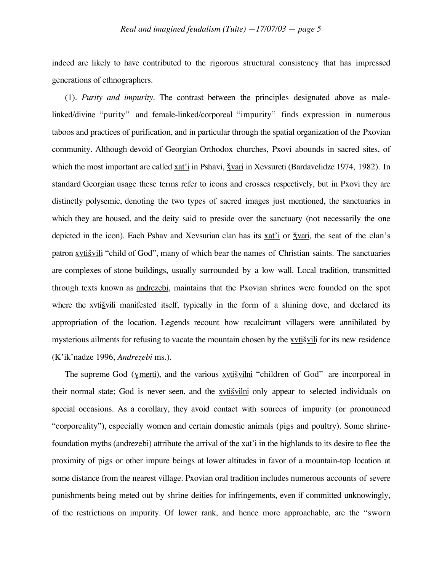indeed are likely to have contributed to the rigorous structural consistency that has impressed generations of ethnographers.

(1). *Purity and impurity.* The contrast between the principles designated above as malelinked/divine "purity" and female-linked/corporeal "impurity" finds expression in numerous taboos and practices of purification, and in particular through the spatial organization of the Pxovian community. Although devoid of Georgian Orthodox churches, Pxovi abounds in sacred sites, of which the most important are called xat'i in Pshavi,  $\frac{1}{2}$  vari in Xevsureti (Bardavelidze 1974, 1982). In standard Georgian usage these terms refer to icons and crosses respectively, but in Pxovi they are distinctly polysemic, denoting the two types of sacred images just mentioned, the sanctuaries in which they are housed, and the deity said to preside over the sanctuary (not necessarily the one depicted in the icon). Each Pshav and Xevsurian clan has its xat'i or  $\frac{1}{2}$  vari, the seat of the clan's patron xvtiš vili "child of God", many of which bear the names of Christian saints. The sanctuaries are complexes of stone buildings, usually surrounded by a low wall. Local tradition, transmitted through texts known as andrezebi, maintains that the Pxovian shrines were founded on the spot where the xvti vili manifested itself, typically in the form of a shining dove, and declared its appropriation of the location. Legends recount how recalcitrant villagers were annihilated by mysterious ailments for refusing to vacate the mountain chosen by the xvtis vili for its new residence (K'ik'nadze 1996, *Andrezebi* ms.).

The supreme God (ymerti), and the various xvtiš vilni "children of God" are incorporeal in their normal state; God is never seen, and the xvtis vilni only appear to selected individuals on special occasions. As a corollary, they avoid contact with sources of impurity (or pronounced "corporeality"), especially women and certain domestic animals (pigs and poultry). Some shrinefoundation myths (andrezebi) attribute the arrival of the xat'i in the highlands to its desire to flee the proximity of pigs or other impure beings at lower altitudes in favor of a mountain-top location at some distance from the nearest village. Pxovian oral tradition includes numerous accounts of severe punishments being meted out by shrine deities for infringements, even if committed unknowingly, of the restrictions on impurity. Of lower rank, and hence more approachable, are the "sworn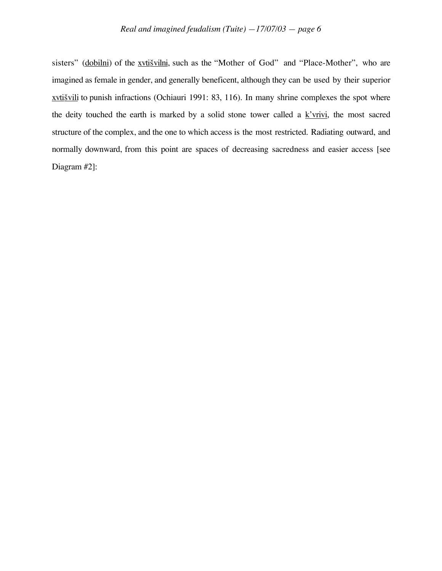sisters" (dobilni) of the xvtišvilni, such as the "Mother of God" and "Place-Mother", who are imagined as female in gender, and generally beneficent, although they can be used by their superior xvtišvili to punish infractions (Ochiauri 1991: 83, 116). In many shrine complexes the spot where the deity touched the earth is marked by a solid stone tower called a  $k'$ vrivi, the most sacred structure of the complex, and the one to which access is the most restricted. Radiating outward, and normally downward, from this point are spaces of decreasing sacredness and easier access [see Diagram #2]: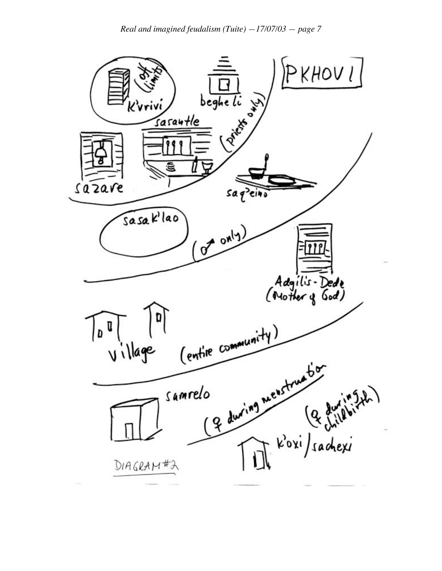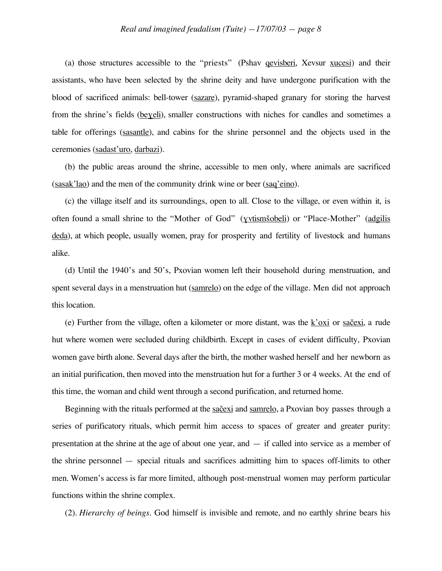(a) those structures accessible to the "priests" (Pshav qevisberi, Xevsur xucesi) and their assistants, who have been selected by the shrine deity and have undergone purification with the blood of sacrificed animals: bell-tower (sazare), pyramid-shaped granary for storing the harvest from the shrine's fields (beyeli), smaller constructions with niches for candles and sometimes a table for offerings (sasantle), and cabins for the shrine personnel and the objects used in the ceremonies (sadast'uro, darbazi).

(b) the public areas around the shrine, accessible to men only, where animals are sacrificed (sasak'lao) and the men of the community drink wine or beer (saq'eino).

(c) the village itself and its surroundings, open to all. Close to the village, or even within it, is often found a small shrine to the "Mother of God" (yvtisms obeli) or "Place-Mother" (adgilis deda), at which people, usually women, pray for prosperity and fertility of livestock and humans alike.

(d) Until the 1940's and 50's, Pxovian women left their household during menstruation, and spent several days in a menstruation hut (samrelo) on the edge of the village. Men did not approach this location.

(e) Further from the village, often a kilometer or more distant, was the  $k'oxi$  or saccasi, a rude hut where women were secluded during childbirth. Except in cases of evident difficulty, Pxovian women gave birth alone. Several days after the birth, the mother washed herself and her newborn as an initial purification, then moved into the menstruation hut for a further 3 or 4 weeks. At the end of this time, the woman and child went through a second purification, and returned home.

Beginning with the rituals performed at the sačexi and samrelo, a Pxovian boy passes through a series of purificatory rituals, which permit him access to spaces of greater and greater purity: presentation at the shrine at the age of about one year, and — if called into service as a member of the shrine personnel — special rituals and sacrifices admitting him to spaces off-limits to other men. Women's access is far more limited, although post-menstrual women may perform particular functions within the shrine complex.

(2). *Hierarchy of beings.* God himself is invisible and remote, and no earthly shrine bears his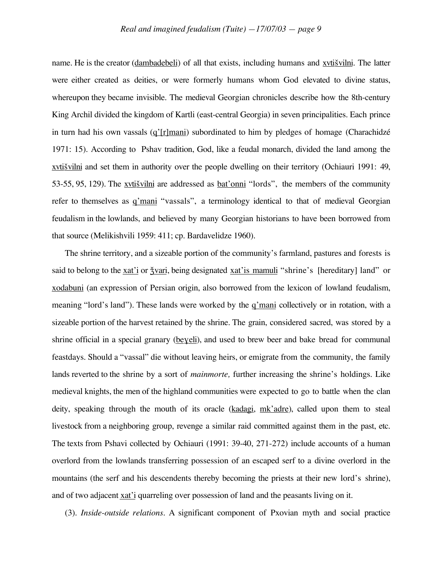name. He is the creator (dambadebeli) of all that exists, including humans and xvtis vilni. The latter were either created as deities, or were formerly humans whom God elevated to divine status, whereupon they became invisible. The medieval Georgian chronicles describe how the 8th-century King Archil divided the kingdom of Kartli (east-central Georgia) in seven principalities. Each prince in turn had his own vassals (q'[r]mani) subordinated to him by pledges of homage (Charachidzé 1971: 15). According to Pshav tradition, God, like a feudal monarch, divided the land among the xvtišvilni and set them in authority over the people dwelling on their territory (Ochiauri 1991: 49,  $53-55, 95, 129$ ). The xvti svilimi are addressed as bat'onni "lords", the members of the community refer to themselves as q'mani "vassals", a terminology identical to that of medieval Georgian feudalism in the lowlands, and believed by many Georgian historians to have been borrowed from that source (Melikishvili 1959: 411; cp. Bardavelidze 1960).

The shrine territory, and a sizeable portion of the community's farmland, pastures and forests is said to belong to the xat'i or  $\frac{1}{2}$  vari, being designated xat'is mamuli "shrine's [hereditary] land" or xodabuni (an expression of Persian origin, also borrowed from the lexicon of lowland feudalism, meaning "lord's land"). These lands were worked by the q'mani collectively or in rotation, with a sizeable portion of the harvest retained by the shrine. The grain, considered sacred, was stored by a shrine official in a special granary (beyeli), and used to brew beer and bake bread for communal feastdays. Should a "vassal" die without leaving heirs, or emigrate from the community, the family lands reverted to the shrine by a sort of *mainmorte,* further increasing the shrine's holdings. Like medieval knights, the men of the highland communities were expected to go to battle when the clan deity, speaking through the mouth of its oracle (kadagi, mk'adre), called upon them to steal livestock from a neighboring group, revenge a similar raid committed against them in the past, etc. The texts from Pshavi collected by Ochiauri (1991: 39-40, 271-272) include accounts of a human overlord from the lowlands transferring possession of an escaped serf to a divine overlord in the mountains (the serf and his descendents thereby becoming the priests at their new lord's shrine), and of two adjacent xat'i quarreling over possession of land and the peasants living on it.

(3). *Inside-outside relations.* A significant component of Pxovian myth and social practice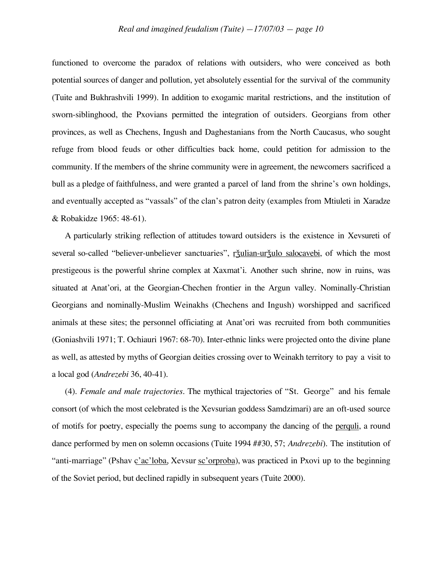functioned to overcome the paradox of relations with outsiders, who were conceived as both potential sources of danger and pollution, yet absolutely essential for the survival of the community (Tuite and Bukhrashvili 1999). In addition to exogamic marital restrictions, and the institution of sworn-siblinghood, the Pxovians permitted the integration of outsiders. Georgians from other provinces, as well as Chechens, Ingush and Daghestanians from the North Caucasus, who sought refuge from blood feuds or other difficulties back home, could petition for admission to the community. If the members of the shrine community were in agreement, the newcomers sacrificed a bull as a pledge of faithfulness, and were granted a parcel of land from the shrine's own holdings, and eventually accepted as "vassals" of the clan's patron deity (examples from Mtiuleti in Xaradze & Robakidze 1965: 48-61).

A particularly striking reflection of attitudes toward outsiders is the existence in Xevsureti of several so-called "believer-unbeliever sanctuaries", r<u>žulian-uržulo salocavebi</u>, of which the most prestigeous is the powerful shrine complex at Xaxmat'i. Another such shrine, now in ruins, was situated at Anat'ori, at the Georgian-Chechen frontier in the Argun valley. Nominally-Christian Georgians and nominally-Muslim Weinakhs (Chechens and Ingush) worshipped and sacrificed animals at these sites; the personnel officiating at Anat'ori was recruited from both communities (Goniashvili 1971; T. Ochiauri 1967: 68-70). Inter-ethnic links were projected onto the divine plane as well, as attested by myths of Georgian deities crossing over to Weinakh territory to pay a visit to a local god (*Andrezebi* 36, 40-41).

(4). *Female and male trajectories.* The mythical trajectories of "St. George" and his female consort (of which the most celebrated is the Xevsurian goddess Samdzimari) are an oft-used source of motifs for poetry, especially the poems sung to accompany the dancing of the perquli, a round dance performed by men on solemn occasions (Tuite 1994 ##30, 57; *Andrezebi*). The institution of "anti-marriage" (Pshav c'ac'loba, Xevsur sc'orproba), was practiced in Pxovi up to the beginning of the Soviet period, but declined rapidly in subsequent years (Tuite 2000).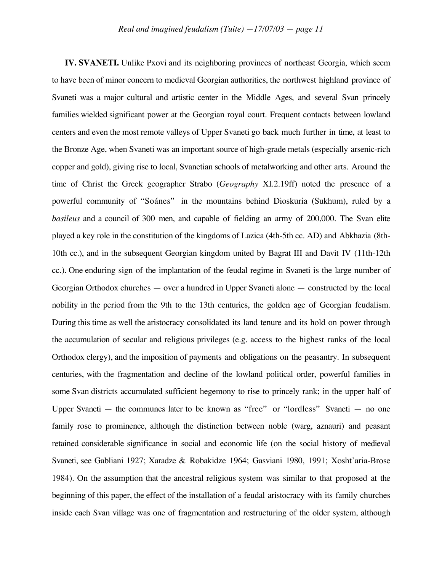**IV. SVANETI.** Unlike Pxovi and its neighboring provinces of northeast Georgia, which seem to have been of minor concern to medieval Georgian authorities, the northwest highland province of Svaneti was a major cultural and artistic center in the Middle Ages, and several Svan princely families wielded significant power at the Georgian royal court. Frequent contacts between lowland centers and even the most remote valleys of Upper Svaneti go back much further in time, at least to the Bronze Age, when Svaneti was an important source of high-grade metals (especially arsenic-rich copper and gold), giving rise to local, Svanetian schools of metalworking and other arts. Around the time of Christ the Greek geographer Strabo (*Geography* XI.2.19ff) noted the presence of a powerful community of "Soánes" in the mountains behind Dioskuria (Sukhum), ruled by a *basileus* and a council of 300 men, and capable of fielding an army of 200,000. The Svan elite played a key role in the constitution of the kingdoms of Lazica (4th-5th cc. AD) and Abkhazia (8th-10th cc.), and in the subsequent Georgian kingdom united by Bagrat III and Davit IV (11th-12th cc.). One enduring sign of the implantation of the feudal regime in Svaneti is the large number of Georgian Orthodox churches — over a hundred in Upper Svaneti alone — constructed by the local nobility in the period from the 9th to the 13th centuries, the golden age of Georgian feudalism. During this time as well the aristocracy consolidated its land tenure and its hold on power through the accumulation of secular and religious privileges (e.g. access to the highest ranks of the local Orthodox clergy), and the imposition of payments and obligations on the peasantry. In subsequent centuries, with the fragmentation and decline of the lowland political order, powerful families in some Svan districts accumulated sufficient hegemony to rise to princely rank; in the upper half of Upper Svaneti — the communes later to be known as "free" or "lordless" Svaneti — no one family rose to prominence, although the distinction between noble (warg, aznauri) and peasant retained considerable significance in social and economic life (on the social history of medieval Svaneti, see Gabliani 1927; Xaradze & Robakidze 1964; Gasviani 1980, 1991; Xosht'aria-Brose 1984). On the assumption that the ancestral religious system was similar to that proposed at the beginning of this paper, the effect of the installation of a feudal aristocracy with its family churches inside each Svan village was one of fragmentation and restructuring of the older system, although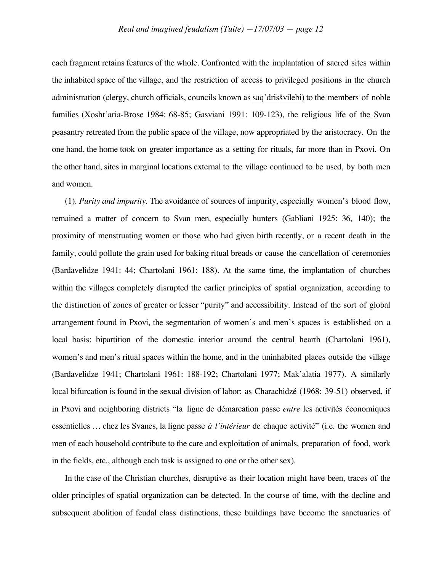each fragment retains features of the whole. Confronted with the implantation of sacred sites within the inhabited space of the village, and the restriction of access to privileged positions in the church administration (clergy, church officials, councils known as saq'dris svilebi) to the members of noble families (Xosht'aria-Brose 1984: 68-85; Gasviani 1991: 109-123), the religious life of the Svan peasantry retreated from the public space of the village, now appropriated by the aristocracy. On the one hand, the home took on greater importance as a setting for rituals, far more than in Pxovi. On the other hand, sites in marginal locations external to the village continued to be used, by both men and women.

(1). *Purity and impurity.* The avoidance of sources of impurity, especially women's blood flow, remained a matter of concern to Svan men, especially hunters (Gabliani 1925: 36, 140); the proximity of menstruating women or those who had given birth recently, or a recent death in the family, could pollute the grain used for baking ritual breads or cause the cancellation of ceremonies (Bardavelidze 1941: 44; Chartolani 1961: 188). At the same time, the implantation of churches within the villages completely disrupted the earlier principles of spatial organization, according to the distinction of zones of greater or lesser "purity" and accessibility. Instead of the sort of global arrangement found in Pxovi, the segmentation of women's and men's spaces is established on a local basis: bipartition of the domestic interior around the central hearth (Chartolani 1961), women's and men's ritual spaces within the home, and in the uninhabited places outside the village (Bardavelidze 1941; Chartolani 1961: 188-192; Chartolani 1977; Mak'alatia 1977). A similarly local bifurcation is found in the sexual division of labor: as Charachidzé (1968: 39-51) observed, if in Pxovi and neighboring districts "la ligne de démarcation passe *entre* les activités économiques essentielles … chez les Svanes, la ligne passe *à l'intérieur* de chaque activité" (i.e. the women and men of each household contribute to the care and exploitation of animals, preparation of food, work in the fields, etc., although each task is assigned to one or the other sex).

In the case of the Christian churches, disruptive as their location might have been, traces of the older principles of spatial organization can be detected. In the course of time, with the decline and subsequent abolition of feudal class distinctions, these buildings have become the sanctuaries of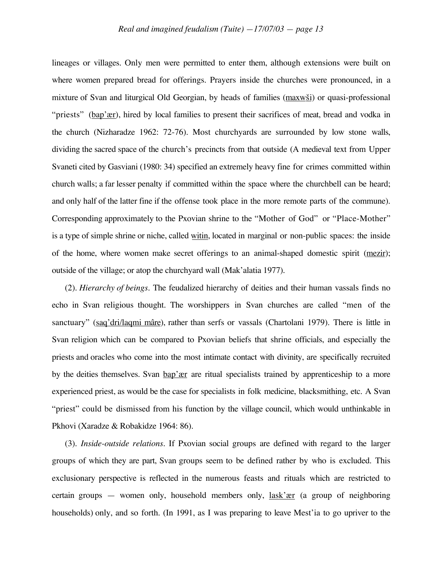lineages or villages. Only men were permitted to enter them, although extensions were built on where women prepared bread for offerings. Prayers inside the churches were pronounced, in a mixture of Svan and liturgical Old Georgian, by heads of families (maxw i) or quasi-professional "priests" (bap'ær), hired by local families to present their sacrifices of meat, bread and vodka in the church (Nizharadze 1962: 72-76). Most churchyards are surrounded by low stone walls, dividing the sacred space of the church's precincts from that outside (A medieval text from Upper Svaneti cited by Gasviani (1980: 34) specified an extremely heavy fine for crimes committed within church walls; a far lesser penalty if committed within the space where the churchbell can be heard; and only half of the latter fine if the offense took place in the more remote parts of the commune). Corresponding approximately to the Pxovian shrine to the "Mother of God" or "Place-Mother" is a type of simple shrine or niche, called witin, located in marginal or non-public spaces: the inside of the home, where women make secret offerings to an animal-shaped domestic spirit (mezir); outside of the village; or atop the churchyard wall (Mak'alatia 1977).

(2). *Hierarchy of beings.* The feudalized hierarchy of deities and their human vassals finds no echo in Svan religious thought. The worshippers in Svan churches are called "men of the sanctuary" (saq'dri/laqmi mâre), rather than serfs or vassals (Chartolani 1979). There is little in Svan religion which can be compared to Pxovian beliefs that shrine officials, and especially the priests and oracles who come into the most intimate contact with divinity, are specifically recruited by the deities themselves. Svan bap'ær are ritual specialists trained by apprenticeship to a more experienced priest, as would be the case for specialists in folk medicine, blacksmithing, etc. A Svan "priest" could be dismissed from his function by the village council, which would unthinkable in Pkhovi (Xaradze & Robakidze 1964: 86).

(3). *Inside-outside relations.* If Pxovian social groups are defined with regard to the larger groups of which they are part, Svan groups seem to be defined rather by who is excluded. This exclusionary perspective is reflected in the numerous feasts and rituals which are restricted to certain groups — women only, household members only, lask'ær (a group of neighboring households) only, and so forth. (In 1991, as I was preparing to leave Mest'ia to go upriver to the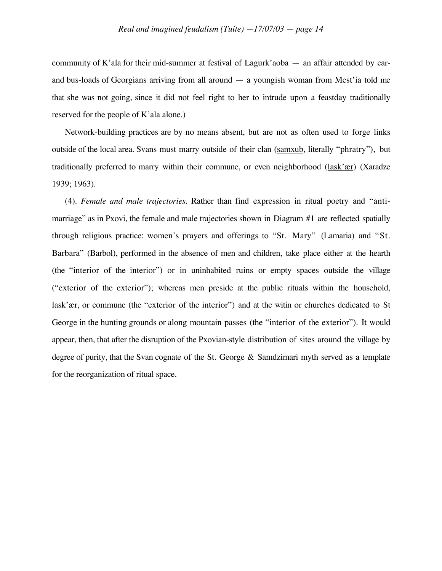community of K'ala for their mid-summer at festival of Lagurk'aoba — an affair attended by carand bus-loads of Georgians arriving from all around — a youngish woman from Mest'ia told me that she was not going, since it did not feel right to her to intrude upon a feastday traditionally reserved for the people of K'ala alone.)

Network-building practices are by no means absent, but are not as often used to forge links outside of the local area. Svans must marry outside of their clan (samxub, literally "phratry"), but traditionally preferred to marry within their commune, or even neighborhood (lask'ær) (Xaradze 1939; 1963).

(4). *Female and male trajectories.* Rather than find expression in ritual poetry and "antimarriage" as in Pxovi, the female and male trajectories shown in Diagram #1 are reflected spatially through religious practice: women's prayers and offerings to "St. Mary" (Lamaria) and "St. Barbara" (Barbol), performed in the absence of men and children, take place either at the hearth (the "interior of the interior") or in uninhabited ruins or empty spaces outside the village ("exterior of the exterior"); whereas men preside at the public rituals within the household, lask'ær, or commune (the "exterior of the interior") and at the witin or churches dedicated to St George in the hunting grounds or along mountain passes (the "interior of the exterior"). It would appear, then, that after the disruption of the Pxovian-style distribution of sites around the village by degree of purity, that the Svan cognate of the St. George & Samdzimari myth served as a template for the reorganization of ritual space.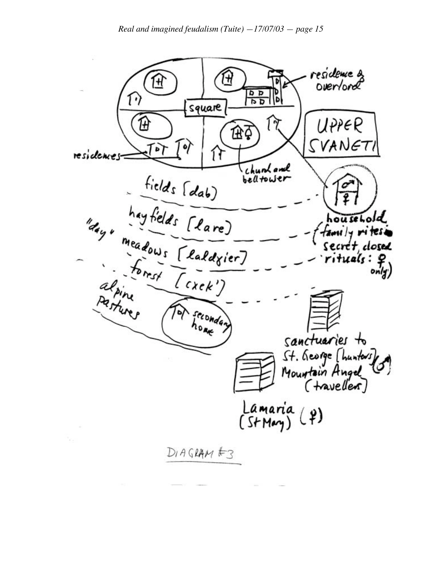residence &<br>Overlord H H  $\frac{a}{a}$ square UPPER Œζ esidences Tor Tor Tor (1) VANE  $\frac{1}{2}$ Þ residences chuntand<br>belltower household tamily rites. Secret dosed ituale only) frondan sanctuaries to St. George [hunters] Lamaria (2)<br>(StMay) (2)  $DIAG$ RAM $E$ 3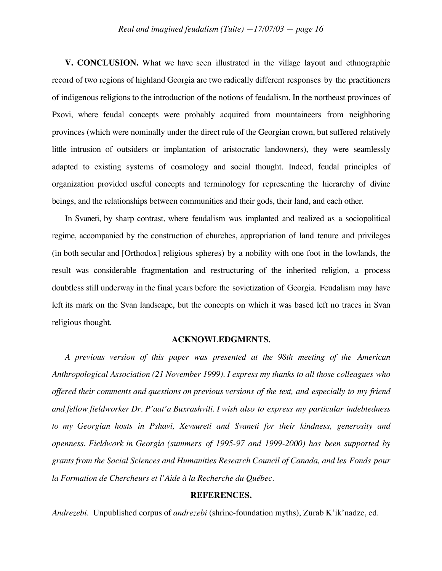**V. CONCLUSION.** What we have seen illustrated in the village layout and ethnographic record of two regions of highland Georgia are two radically different responses by the practitioners of indigenous religions to the introduction of the notions of feudalism. In the northeast provinces of Pxovi, where feudal concepts were probably acquired from mountaineers from neighboring provinces (which were nominally under the direct rule of the Georgian crown, but suffered relatively little intrusion of outsiders or implantation of aristocratic landowners), they were seamlessly adapted to existing systems of cosmology and social thought. Indeed, feudal principles of organization provided useful concepts and terminology for representing the hierarchy of divine beings, and the relationships between communities and their gods, their land, and each other.

In Svaneti, by sharp contrast, where feudalism was implanted and realized as a sociopolitical regime, accompanied by the construction of churches, appropriation of land tenure and privileges (in both secular and [Orthodox] religious spheres) by a nobility with one foot in the lowlands, the result was considerable fragmentation and restructuring of the inherited religion, a process doubtless still underway in the final years before the sovietization of Georgia. Feudalism may have left its mark on the Svan landscape, but the concepts on which it was based left no traces in Svan religious thought.

### **ACKNOWLEDGMENTS.**

*A previous version of this paper was presented at the 98th meeting of the American Anthropological Association (21 November 1999). I express my thanks to all those colleagues who offered their comments and questions on previous versions of the text, and especially to my friend and fellow fieldworker Dr. P'aat'a Buxrashvili. I wish also to express my particular indebtedness to my Georgian hosts in Pshavi, Xevsureti and Svaneti for their kindness, generosity and openness. Fieldwork in Georgia (summers of 1995-97 and 1999-2000) has been supported by grants from the Social Sciences and Humanities Research Council of Canada, and les Fonds pour la Formation de Chercheurs et l'Aide à la Recherche du Québec.*

### **REFERENCES.**

*Andrezebi.* Unpublished corpus of *andrezebi* (shrine-foundation myths), Zurab K'ik'nadze, ed.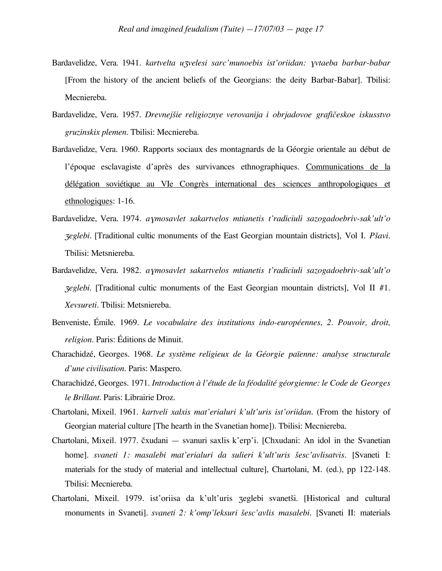- Bardavelidze, Vera. 1941. *kartvelta uzvelesi sarc'munoebis ist'oriidan: yvtaeba barbar-babar* [From the history of the ancient beliefs of the Georgians: the deity Barbar-Babar]. Tbilisi: Mecniereba.
- Bardavelidze, Vera. 1957. *Drevnejšie religioznye verovanija i obrjadovoe grafičeskoe iskusstvo gruzinskix plemen.* Tbilisi: Mecniereba.
- Bardavelidze, Vera. 1960. Rapports sociaux des montagnards de la Géorgie orientale au début de l'époque esclavagiste d'après des survivances ethnographiques. Communications de la délégation soviétique au VIe Congrès international des sciences anthropologiques et ethnologiques: 1-16.
- Bardavelidze, Vera. 1974. *a*ƒ*mosavlet sakartvelos mtianetis t'radiciuli sazogadoebriv-sak'ult'o* <sup>Z</sup>*eglebi.* [Traditional cultic monuments of the East Georgian mountain districts], Vol I. *P£avi.* Tbilisi: Metsniereba.
- Bardavelidze, Vera. 1982. *a*ƒ*mosavlet sakartvelos mtianetis t'radiciuli sazogadoebriv-sak'ult'o* <sup>Z</sup>*eglebi.* [Traditional cultic monuments of the East Georgian mountain districts], Vol II #1. *Xevsureti.* Tbilisi: Metsniereba.
- Benveniste, Émile. 1969. *Le vocabulaire des institutions indo-européennes, 2. Pouvoir, droit, religion.* Paris: Éditions de Minuit.
- Charachidzé, Georges. 1968. *Le système religieux de la Géorgie païenne: analyse structurale d'une civilisation.* Paris: Maspero.
- Charachidzé, Georges. 1971. *Introduction à l'étude de la féodalité géorgienne: le Code de Georges le Brillant.* Paris: Librairie Droz.
- Chartolani, Mixeil. 1961. *kartveli xalxis mat'erialuri k'ult'uris ist'oriidan.* (From the history of Georgian material culture [The hearth in the Svanetian home]). Tbilisi: Mecniereba.
- Chartolani, Mixeil. 1977. čxudani svanuri saxlis k'erp'i. [Chxudani: An idol in the Svanetian home]. *svaneti 1: masalebi mat'erialuri da sulieri k'ult'uris £esc'avlisatvis.* [Svaneti I: materials for the study of material and intellectual culture], Chartolani, M. (ed.), pp 122-148. Tbilisi: Mecniereba.
- Chartolani, Mixeil. 1979. ist'oriisa da k'ult'uris zeglebi svanetši. [Historical and cultural monuments in Svaneti]. *svaneti 2: k'omp'leksuri šesc'avlis masalebi*. [Svaneti II: materials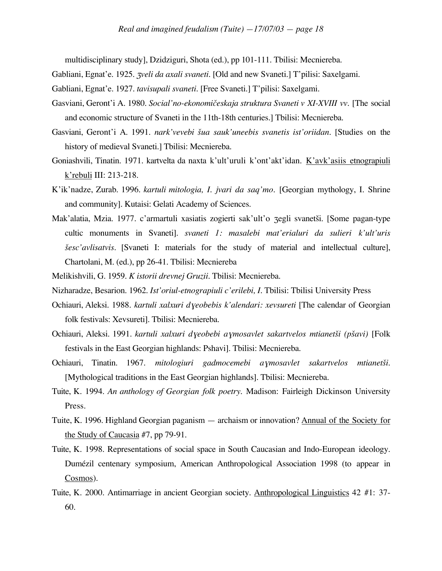multidisciplinary study], Dzidziguri, Shota (ed.), pp 101-111. Tbilisi: Mecniereba.

Gabliani, Egnat'e. 1925. Z*veli da axali svaneti.* [Old and new Svaneti.] T'pilisi: Saxelgami.

- Gabliani, Egnat'e. 1927. *tavisupali svaneti.* [Free Svaneti.] T'pilisi: Saxelgami.
- Gasviani, Geront'i A. 1980. *Social'no-ekonomičeskaja struktura Svaneti v XI-XVIII vv*. [The social and economic structure of Svaneti in the 11th-18th centuries.] Tbilisi: Mecniereba.
- Gasviani, Geront'i A. 1991. *nark'vevebi šua sauk'uneebis svanetis ist'oriidan*. [Studies on the history of medieval Svaneti.] Tbilisi: Mecniereba.
- Goniashvili, Tinatin. 1971. kartvelta da naxta k'ult'uruli k'ont'akt'idan. K'avk'asiis etnograpiuli k'rebuli III: 213-218.
- K'ik'nadze, Zurab. 1996. *kartuli mitologia, I. jvari da saq'mo.* [Georgian mythology, I. Shrine and community]. Kutaisi: Gelati Academy of Sciences.
- Mak'alatia, Mzia. 1977. c'armartuli xasiatis zogierti sak'ult'o zegli svanetši. [Some pagan-type cultic monuments in Svaneti]. *svaneti 1: masalebi mat'erialuri da sulieri k'ult'uris £esc'avlisatvis.* [Svaneti I: materials for the study of material and intellectual culture], Chartolani, M. (ed.), pp 26-41. Tbilisi: Mecniereba
- Melikishvili, G. 1959. *K istorii drevnej Gruzii.* Tbilisi: Mecniereba.

Nizharadze, Besarion. 1962. *Ist'oriul-etnograpiuli c'erilebi, I.* Tbilisi: Tbilisi University Press

- Ochiauri, Aleksi. 1988. *kartuli xalxuri dyeobebis k'alendari: xevsureti* [The calendar of Georgian folk festivals: Xevsureti]. Tbilisi: Mecniereba.
- Ochiauri, Aleksi. 1991. *kartuli xalxuri d*ƒ*eobebi a*ƒ*mosavlet sakartvelos mtianet£i (p£avi)* [Folk festivals in the East Georgian highlands: Pshavi]. Tbilisi: Mecniereba.
- Ochiauri, Tinatin. 1967. *mitologiuri gadmocemebi a*ƒ*mosavlet sakartvelos mtianet£i.* [Mythological traditions in the East Georgian highlands]. Tbilisi: Mecniereba.
- Tuite, K. 1994. *An anthology of Georgian folk poetry.* Madison: Fairleigh Dickinson University Press.
- Tuite, K. 1996. Highland Georgian paganism archaism or innovation? Annual of the Society for the Study of Caucasia #7, pp 79-91.
- Tuite, K. 1998. Representations of social space in South Caucasian and Indo-European ideology. Dumézil centenary symposium, American Anthropological Association 1998 (to appear in Cosmos).
- Tuite, K. 2000. Antimarriage in ancient Georgian society. Anthropological Linguistics 42 #1: 37- 60.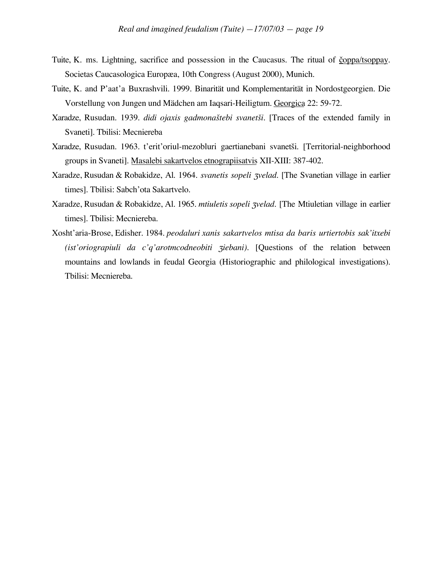- Tuite, K. ms. Lightning, sacrifice and possession in the Caucasus. The ritual of coppa/tsoppay. Societas Caucasologica Europæa, 10th Congress (August 2000), Munich.
- Tuite, K. and P'aat'a Buxrashvili. 1999. Binarität und Komplementarität in Nordostgeorgien. Die Vorstellung von Jungen und Mädchen am Iaqsari-Heiligtum. Georgica 22: 59-72.
- Xaradze, Rusudan. 1939. *didi ojaxis gadmona£tebi svanet£i.* [Traces of the extended family in Svaneti]. Tbilisi: Mecniereba
- Xaradze, Rusudan. 1963. t'erit'oriul-mezobluri gaertianebani svanetši. [Territorial-neighborhood groups in Svaneti]. Masalebi sakartvelos etnograpiisatvis XII-XIII: 387-402.
- Xaradze, Rusudan & Robakidze, Al. 1964. *svanetis sopeli zvelad*. [The Svanetian village in earlier times]. Tbilisi: Sabch'ota Sakartvelo.
- Xaradze, Rusudan & Robakidze, Al. 1965. *mtiuletis sopeli zvelad*. [The Mtiuletian village in earlier times]. Tbilisi: Mecniereba.
- Xosht'aria-Brose, Edisher. 1984. *peodaluri xanis sakartvelos mtisa da baris urtiertobis sak'itxebi (ist'oriograpiuli da c'q'arotmcodneobiti ziebani)*. [Questions of the relation between mountains and lowlands in feudal Georgia (Historiographic and philological investigations). Tbilisi: Mecniereba.